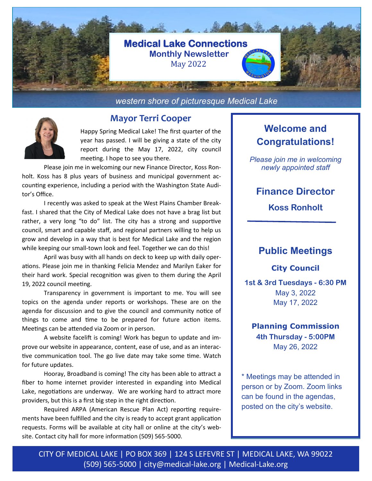

*western shore of picturesque Medical Lake*



## **Mayor Terri Cooper**

Happy Spring Medical Lake! The first quarter of the year has passed. I will be giving a state of the city report during the May 17, 2022, city council meeting. I hope to see you there.

Please join me in welcoming our new Finance Director, Koss Ronholt. Koss has 8 plus years of business and municipal government accounting experience, including a period with the Washington State Auditor's Office.

I recently was asked to speak at the West Plains Chamber Breakfast. I shared that the City of Medical Lake does not have a brag list but rather, a very long "to do" list. The city has a strong and supportive council, smart and capable staff, and regional partners willing to help us grow and develop in a way that is best for Medical Lake and the region while keeping our small-town look and feel. Together we can do this!

April was busy with all hands on deck to keep up with daily operations. Please join me in thanking Felicia Mendez and Marilyn Eaker for their hard work. Special recognition was given to them during the April 19, 2022 council meeting.

Transparency in government is important to me. You will see topics on the agenda under reports or workshops. These are on the agenda for discussion and to give the council and community notice of things to come and time to be prepared for future action items. Meetings can be attended via Zoom or in person.

A website facelift is coming! Work has begun to update and improve our website in appearance, content, ease of use, and as an interactive communication tool. The go live date may take some time. Watch for future updates.

Hooray, Broadband is coming! The city has been able to attract a fiber to home internet provider interested in expanding into Medical Lake, negotiations are underway. We are working hard to attract more providers, but this is a first big step in the right direction.

Required ARPA (American Rescue Plan Act) reporting requirements have been fulfilled and the city is ready to accept grant application requests. Forms will be available at city hall or online at the city's website. Contact city hall for more information (509) 565-5000.

# **Welcome and Congratulations!**

*Please join me in welcoming newly appointed staff* 

## **Finance Director**

**Koss Ronholt**

## **Public Meetings**

**City Council**

**1st & 3rd Tuesdays - 6:30 PM** May 3, 2022 May 17, 2022

**Planning Commission 4th Thursday - 5:00PM** May 26, 2022

\* Meetings may be attended in person or by Zoom. Zoom links can be found in the agendas, posted on the city's website.

CITY OF MEDICAL LAKE | PO BOX 369 | 124 S LEFEVRE ST | MEDICAL LAKE, WA 99022 (509) 565-5000 | city@medical-lake.org | Medical-Lake.org